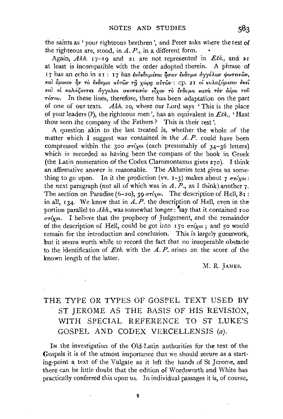the saints as ' your righteous brethren', and Peter asks where the rest of the righteous are, stood, in  $A$ .  $P$ ., in a different form.

Again,  $Akh$ .  $17-19$  and  $21$  are not represented in *Eth.*, and  $21$ at least is incompatible with the order adopted therein. A phrase of I7 has an echo in 21: 17 has ενδεδυμένοι ήσαν ένδυμα αγγέλων φωτεινών, και δμοιον ήν το ένδυμα αυτών τη χώρα αυτών: cp. 21 οι κολαζόμενοι έκει και οι κολάζοντες άγγελοι σκοτεινον είχον το ένδυμα κατα τον άέρα του  $\tau$ <sub>o</sub> $\tau$ <sub>o</sub> $\tau$ <sub>o</sub> $\tau$ <sub>o</sub> $\tau$ <sub>o</sub> $\tau$ <sub>o</sub> $\tau$ <sub>b</sub> in these lines, therefore, there has been adaptation on the part of one of our texts. *Akh.* 20, where our Lord says ' This is the place of your leaders(?), the righteous men', has an equivalent in *Eth.,* 'Hast thou seen the company of the Fathers? This is their rest'.

A question akin to the last treated is, whether the whole of the matter which I suggest was contained in the  $A$ .  $P$ , could have been compressed within the 300  $\sigma r(x)$  (each presumably of 34-36 letters) which is recorded as having been the compass of the book in Greek (the Latin numeration of the Codex Claromontanus gives  $270$ ). I think an affirmative answer is reasonable. The Akhmim text gives us something to go upon. In it the prediction (vv. 1-3) makes about 7  $\sigma\tau$ *i*yot: the next paragraph (not all of which was in  $A$ .  $P$ ., as I think) another 7. The section on Paradise (6-20), 39  $\sigma\tau(x_0L)$ . The description of Hell,  $81$ : in all, 134. We know that in  $\overrightarrow{A}$ . P. the description of Hell, even in the portion parallel to  $Akh$ , was somewhat longer :  $\bullet$ say that it contained roo  $\sigma\tau$ ixol. I believe that the prophecy of Judgement, and the remainder of the description of Hell, could be got into  $\overline{150}$   $\sigma\tau\acute{i}y\acute{o}u$ ; and  $\overline{50}$  would remain for the introduction and conclusion. This is largely guesswork, but it seems worth while to record the fact that no insuperable obstacle to the identification of *Eth.* with the *A. P.* arises on the score of the known length of the latter.

M. R. JAMES.

## **THE** TYPE OR TYPES OF GOSPEL TEXT USED BY ST JEROME AS THE BASIS OF HIS REVISION, WITH SPECIAL REFERENCE TO ST LUKE'S GOSPEL AND CODEX VERCELLENSIS (a).

IN the investigation of the Old-Latin authorities for the text of the Gospels it is of the utmost importance that we should secure as a starting-point a text of the Vulgate as it left the hands of St Jerome, and there can be little doubt that the edition of Wordsworth and White has practically conferred this upon us. In individual passages it is, of course,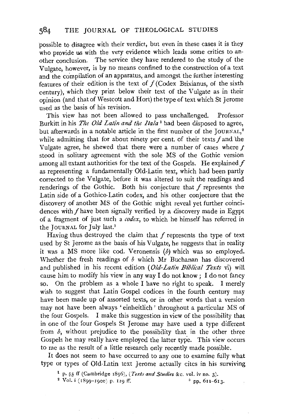possible to disagree with their verdict, but even in these cases it is they who provide us with the very evidence which leads some critics to another conclusion. The service they have rendered to the study of the Vulgate, however, is by no means confined to the construction of a text and the compilation of an apparatus, and amongst the further interesting features of their edition is the text of  $f$  (Codex Brixianus, of the sixth century), which they print below their text of the Vulgate as in their opinion (and that of Westcott and Hort) the type of text which St Jerome used as the basis of his revision.

This view has not been allowed to pass unchallenged. Professor Burkitt in his *The Old Latin and the Ita/a* 1 had been disposed to agree, but afterwards in a notable article in the first number of the JOURNAL,<sup>2</sup> while admitting that for about ninety per cent. of their texts  $f$  and the Vulgate agree, he shewed that there were a number of cases where  $t$ stood in solitary agreement with the sole MS of the Gothic version among all extant authorities for the text of the Gospels. He explained  $f$ as representing a fundamentally Old-Latin text, which had been partly corrected to the Vulgate, before it was altered to suit the readings and renderings of the Gothic. Both his conjecture that  $f$  represents the Latin side of a Gothico-Latin codex, and his other conjecture that the discovery of another MS of the Gothic might reveal yet further coincidences with  $f$  have been signally verified by a discovery made in Egypt of a fragment of just such a *codex,* to which he himself has referred in the JOURNAL for July last.3

Having thus destroyed the claim that  $f$  represents the type of text used by St Jerome as the basis of his Vulgate, he suggests that in reality it was a MS more like cod. Veronensis  $(b)$  which was so employed. Whether the fresh readings of *b* which Mr Buchanan has discovered and published in his recent edition *(Old-Latin Biblical Texts* vi) will cause him to modify his view in any way I do not know; I do not fancy so. On the problem as a whole I have no right to speak. I merely wish to suggest that Latin Gospel codices in the fourth century may have been made up of assorted texts, or in other words that a version may not have been always 'einheitlich' throughout a particular MS of the four Gospels. I make this suggestion in view of the possibility that in one of the four Gospels St Jerome may have used a type different from *b,* without prejudice to the possibility that in the other three Gospels he may really have employed the latter type. This view occurs to me as the result of a little research only recently made possible.

It does not seem to have occurred to any one to examine fully what type or types of Old-Latin text Jerome actually cites in his surviving

<sup>1</sup> p. 55 ff (Cambridge 1896), *(Texts and Studies & c. vol. iv no.* 3).<br><sup>2</sup> Vol. i (1899–1900) p. 129 ff.  $\frac{3}{2}$  pp. 611–613.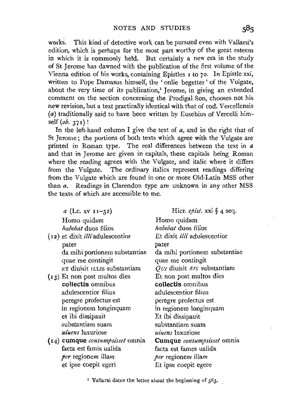works. This kind of detective work can be pursued even with Vallarsi's edition, which is perhaps for the most part worthy of the great esteem in which it is commonly held. But certainly a new era in the study of St Jerome has dawned with the publication of the first volume of the Vienna edition of his works, containing Epistles 1 to 70. In Epistle xxi, written to Pope Damasus himself, the 'onlie begetter' of the Vulgate, about the very time of its publication,<sup> $1$ </sup> Jerome, in giving an extended comment on the section concerning the Prodigal Son, chooses not his new revision, but a text practically identical with that of cod. Vercellensis (a) traditionally said to have been written by Eusebius of Vercelli himself (*ob.* 371)!

In the left-hand column I give the text of  $a$ , and in the right that of St Jerome; the portions of both texts which agree with the Vulgate are printed in Roman type. The real differences between the text in *a*  and that in Jerome are given in capitals, these capitals being Roman where the reading agrees with the Vulgate, and italic where it differs from the Vulgate. The ordinary italics represent readings differing from the Vulgate which are found in one or more Old-Latin MSS other than *a.* Readings in Clarendon type are unknown in any other MSS the texts of which are accessible to me.

*a* (Lc. XV II-32) Homo quidam *habebat* duos filios ( 12) et dixit *illi* adulescentior pater da mihi portionem substantiae quae me contingit ET diuisit ILLIS substantiam {13) Et non post multos dies **collectis** omnibus adulescentior filius peregre profectus est in regionem longinquam et ibi dissipauit substantiam suam *uiuens* luxuriose (14) **cumque** *consumpsisset* omnia facta est famis ualida *per* regionem illam et ipse coepit egeri Hier. *epist.* xxi *§* 4 seq. Homo quidam *habebat* duos filios Et dixit *illi* adulescentior pater da mihi portionem substantiae quae me contingit *Qm* diuisit *EIS* substantiam Et non post multos dies **collectis** omnibus adulescentior filius peregre profectus est in regionem longinquam Et ibi dissipauit substantiam suam *uiuens* luxuriose **Cumque** *consumpsisset* omnia facta est fames ualida *per* regionem illam Et ipse coepit egere

1 Vallarsi dates the letter about the beginning of 383.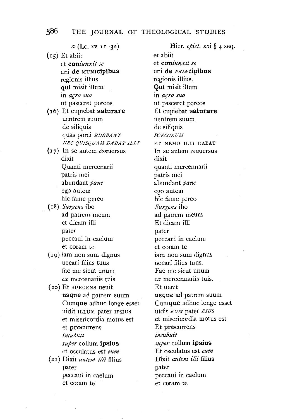*a* (Lc. XV II-32)

- $(i5)$  Et abiit et *coniunxit se*  uni de MUNrcipibus regionis illius qui misit illum in *agro suo*  ut pasceret porcos
- (r6) Et cupiebat saturare uentrem suum de siliquis quas porci *EDEBANT NEC QUISQUAM DABAT ILL!*
- $(17)$  In se autem *con*uersus dixit Quanti mercenarii patris mei abundant *pane*  ego autem hie fame pereo
- (r8) *Surgens* ibo ad patrem meum et dicam illi pater peccaui in caelum et coram te
- $(19)$  iam non sum dignus uocari filius tuus fac me sicut unum *ex* mercenariis tuis
- (zo) Et SVRGENS uenit usque ad patrem suum Cumque adhuc Ionge esset uidit ILLUM pater IPSIUS et misericordia motus est et procurrens *incubuit super* collum ipsius et osculatus est *eum*  (21) Dixit *autem illi* filius
- pater peccaui in caelum et coram te

Hier. *epist.* xxi § 4 seq. et abiit et *coniunxit se*  uni de *PRIN*cipibus regionis illius. **Qui** misit illum in *agro suo*  ut pasceret porcos Et cupiebat saturare uentrem suum de siliquis *PORCORUM*  ET NEMO ILL! DABAT In se autem *conuersus*  dixit quanti mercennarii patris mei abundant *pane*  ego autem hie fame pereo *Surgens* ibo ad patrem meum Et dicam illi pater peccaui in caelum et coram te iam non sum dignus uocari filius tuus. Fac me sicut unum *ex* mercennariis tuis. Et uenit usque ad patrem suum Cumque adhuc longe esset uidit *EUM* pater *EIUS*  et misericordia motus est Et procurrens *incubuit super* collum ipsius Et osculatus est *eum*  Dixit *autem illi* filius pater peccaui in caelum et coram te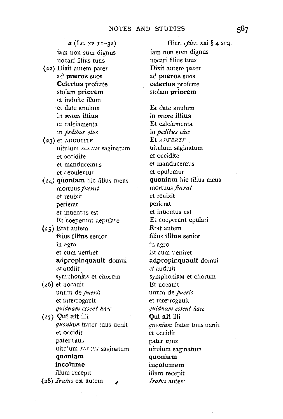$a$  (Lc. xv  $11-32$ ) iam non sum dignus uocari filius tuus (22) Dixit autem pater ad pueros suos Celerius proferte stolam priorem et induite ilium et date anulum in *manu* illius et calciamenta in *pedibus eius*   $(23)$  et ADDUCITE uitulum *ILLUM* saginatum et occidite et manducemus et aepulemur  $(24)$  quoniam hic filius meus mortuus *fuerat*  et reuixit perierat et inuentus est Et coeperunt aepulare (25) Erat autem filius illius senior in agro et cum ueniret adpropinquauit domui *et* audiit symphonias et chorum (26) et uocauit unum de *pueris*  et interrogauit *qui'dnam essent haec*   $(27)$  Qui ait illi *quoniam* frater tuus uenit et occidit pater tuus uitulum *ILLUM* saginatum quoniam incolume ilium recepit {28) *Iratus* est autem

Hier. *epist*. xxi § 4 seq. iam non sum dignus uocari filius tuus Dixit autem pater ad pueros suos celerius proferte stolam priorem Et date anulum in *manu* illius Et calciamenta in *pedibus eius*  Et *ADFERTE,*  uitulum saginatum et occidite et manducemus et epulemur quoniam hie filius meus mortuus *fuerat*  et reuixit perierat et inuentus est Et coeperunt epulari Erat autem filius illius senior m agro Et cum ueniret adpropinquauit domui *et* audiuit symphoniaM et chorum Et uocauit unum de *pueris*  et interrogauit *quidnam essent haet*  Qui ait ilii *quoniam* frater tuus uenit et occidit pater tuus uitulum saginatum quoniam incolumem ilium recepit *Iratus* autem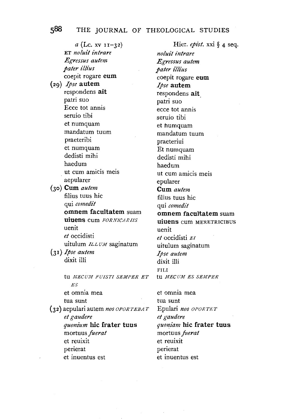*a* (Lc. XV I 1-32) ET *noluit intrare Egressus autem pater illius*  coepit rogare **eum**  (29) *Ipse* **autem**  respondens **ait**  patri suo Ecce tot annis seruio tibi et numquam mandatum tuum praeteribi et numquam dedisti mihi haedum ut cum amicis meis aepularer (30) **Cum** *autem*  filius tuus hie qui *comedz"t*  **omnem faeultatem** suam **UiUens** CUm *FORNICARIIS*  uenit *et* occidisti uitulum *ILLUM* saginatum (3 **1)** *Ipse autem*  dixit illi tu *MECUM FUISTI SEMPER ET* tu *MECUM ES SEMPER ES*  et omnia mea tua sunt (3 2) aepulari aut em *nos OPOR T EBA T et gaudere quonium* **hie frater tuus**  mortuus *fuerat*  et reuixit perierat

et inuentus est

Hier. *epist.* xxi § 4 seq. *noluit intrare Egressus autem*   $\emph{pater illius}$ coepit rogare **eum**  *Ipse* **autem**  respondens **ait.**  patri suo ecce tot annis seruio tibi et humquam mandatum tuum praeteriui Et numquam dedisti mihi haedum ut cum amicis meis epularer **Cum** *autem*  filius tuus hie qui *comedit*  **omnem faeultatem** suam **uiuens** cum MERETRICIBUS uenit *et* occidisti *EI*  uitulum saginatum *Ipse autem*  dixit illi FILI<br>tu *MECUM ES SEMPER* 

et omnia mea tua sunt Epu]ari *nos OPORTET et gaudere quoniam* **hie frater tuus**  mortuus *fuerat*  et reuixit perierat et inuentus est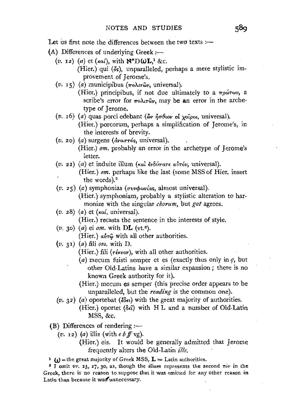Let us first note the differences between the two texts *:-*

- $(A)$  Differences of underlying Greek :-
	- $(v.$  12) (a) et ( $\kappa a i$ ), with  $\aleph^* D \omega L$ <sup>1</sup> &c. (Hier.) qui  $(\delta s)$ , unparalleled, perhaps a mere stylistic improvement of Jerome's.
	- (v. 15) (a) municipibus (πολιτών, universal). (Hier.) principibus, if not due ultimately to a  $\pi \rho \omega \tau \omega \nu$ , a
		- scribe's error for  $\pi \circ \lambda \in \mathfrak{w}_r$ , may be an error in the archetype of Jerome.
	- (v. 16) (a) quas porci edebant (ων ήσθιον οί χοΐροι, universal). (Hier.) porcorum, perhaps a simplification of Jerome's, in the interests of brevity.
	- (v. 20) (a) surgens *(avaunfs,* universal). (Hier.) *om.* probably an error in the archetype of Jerome's letter.
	- (v. 22) (a) et induite ilium (Kal. *iv8vuau aim)v,* universal).

(Hier.) *om.* perhaps like the last (some MSS of Hier. insert the words).<sup>2</sup>

(v. 25) (a) symphonias (*ovvovias*, almost universal).

(Hier.) symphoniam, probably a stylistic alteration to harmonize with the singular *chorum,* but *gat* agrees.

 $(v. 28)$   $(a)$  et  $(\kappa a i,$  universal).

(Hier.) recasts the sentence in the interests of style.

(v. 30) (a) ei *om.* with **DL** (vt.e).

(Hier.)  $a\dot{v}$ <sub>τ</sub> $\ddot{\varphi}$  with all other authorities.

- $(v. 31)$   $(a)$  fili  $om.$  with D.
	- (Hier.) fili ( $\tau$ ékvov), with all other authorities.
	- (a) mecum fuisti semper et es (exactly thus only in *q,* but other Old-Latins have a similar expansion; there is no known Greek authority for it).
	- (Hier.) mecum es semper (this precise order appears to be unparalleled, but the *reading* is the common one).
- (v. 32) (a) oportebat ( $\delta \epsilon$ ) with the great majority of authorities. (Hier.) oportet ( $\delta \epsilon \hat{i}$ ) with H L and a number of Old-Latin MSS, &c.

(B) Differences of rendering :-

 $(v. 12)$  (a) illis (with  $e \, df \, v \,$ g).

(Hier.) eis. It would be generally admitted that Jerome frequently alters the Old-Latin *ille.* 

<sup>1</sup>  $\omega$  = the great majority of Greek MSS,  $L =$  Latin authorities.

<sup>2</sup> I omit  $vv.$  23, 27, 30, as, though the *illum* represents the second  $\tau$ <sup>ov</sup> in the Greek, there is no reason to suppose that it was omitted for any other reason in Latin than because it was unnecessary.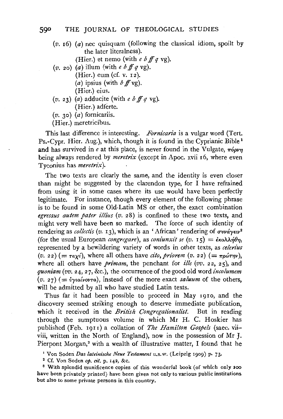$(v. 16)$  (*a*) nec quisquam (following the classical idiom, spoilt by the later literalness).

(Hier.) et nemo (with  $e \, b \, f \, q \, v g$ ).

- $(v, z_0)$   $(a)$  illum (with  $e$   $b$   $f \dot{f} g$  vg).  $(Hier.)$  eum (cf. v. 12).  $(a)$  ipsius (with  $b$  ff vg). (Hier.) eius.
- $(v. 23)$  (*a*) adducite (with *e b ff q vg*). (Hier.) adferte.

 $(v. 30)$   $(a)$  fornicariis.

(Hier.) meretricibus.

This last difference is interesting. *Fornicaria* is a vulgar word (Tert. Ps.-Cypr. Hier. Aug.), which, though it is found in the Cyprianic Bible<sup>1</sup> and has survived in  $e$  at this place, is never found in the Vulgate,  $\pi\acute{o}p\nu\eta$ being always rendered by *meretrix* (except in Apoc. xvii 16, where even Tyconius has *meretn'x).* 

The two texts are clearly the same, and the identity is even closer than might be suggested by the clarendon type, for I have refrained from using it in some cases where its use would have been perfectly legitimate. For instance, though every element of the following phrase is to be found in some Old-Latin MS or other, the exact combination *egressus autem pater illius (v.* 28) is confined to these two texts, and might very well have been so marked. The force of such identity of rendering as *collectis* (*v*. 13), which is an 'African' rendering of συνάγειν<sup>2</sup> (for the usual European *congregare*), as *coniunxit se* (v. 15) =  $\epsilon \kappa \Delta \lambda \eta \theta \eta$ , represented by a bewildering variety of words in other texts, as *celen'us*   $(v. 22)$  (=  $\tau a\chi\dot{v}$ ), where all others have *cito, priorem* (v. 22) (=  $\tau p\dot{\omega}\tau\eta v$ ), where all others have *primam*, the penchant for *ille* (vv. 22, 25), and *quoniam (vv.* 24, 27, &c.), the occurrence of the good old word *incolumem*   $(v. 27)$  (=  $\dot{v}$ *yta{vovTa*), instead of the more exact *saluum* of the others, will be admitted by all who have studied Latin texts.

Thus far it had been possible to proceed in May 1910, and the discovery seemed striking enough to deserve immediate publication, which it received in the *British Congregationalist*. But in reading through the sumptuous volume in which Mr H. C. Hoskier has published (Feb. 191I) a collation of *The Hamilton Gospels* (saec. viiviii, written in the North of England), now in the possession of Mr J. Pierpont Morgan,<sup>3</sup> with a wealth of illustrative matter, I found that he

' Von Soden *Das lateinische Neue Testament* u.s.w. (Leipzig 1909) P· 73· 2 Cf. Von Soden *op. cit.* p. 142, &c. 3 With splendid munificence copies of this wonderful book (of which only *<sup>300</sup>*

have been privately printed) have been given not only to various public institutions but also to some private persons in this country.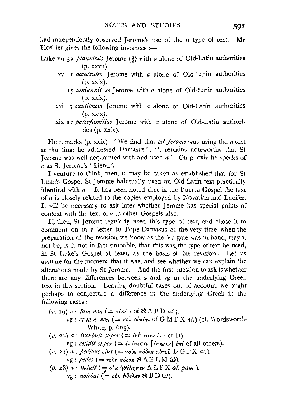had independently observed Jerome's use of the  $a$  type of text. Mr Hoskier gives the following instances *:-*

Luke vii 32 *planxistis* Jerome  $(\frac{2}{2})$  with *a* alone of Old-Latin authorities (p. xxvii).

- xv 1 *accedentes* Jerome with *a* alone of Old-Latin authorities (p. xxix).
	- 15 *coniunxit se* Jerome with *a* alone of Old-Latin authorities (p. xxix).
- xvi 7 cautionem Jerome with a alone of Old-Latin authorities (p. xxix).

xix 12 *paterfamilias* Jerome with *a* alone of Old-Latin authorities (p. xxix).

He remarks (p. xxix): 'We find that *St Jerome* was using the *a* text at the time he addressed Damasus'; 'it remains noteworthy that St Jerome was well acquainted with and used a.' On p. cxiv he speaks of a as St Jerome's ' friend'.

I venture to think, then, it may be taken as established that for St Luke's Gospel St Jerome habitually used an. Old-Latin text practically identical with *a.* It has been noted that in the Fourth Gospel the text of *a* is closely related to the copies employed by Novatian and Lucifer. It will be necessary to ask later whether Jerome has special points of context with the text of *a* in other Gospels also.

If, then, St Jerome regularly used this type of text, and chose it to comment on in a letter to Pope Damasus at the very time when the preparation of the revision we know as the Vulgate was in hand, may it not be, is it not in fact probable, that this was. the type of text he used, in St Luke's Gospel at least, as the basis of his revision ? Let us assume for the moment that it was, and see whether we can explain the alterations made by St Jerome. And the first question to ask is whether there are any differences between *a* and vg in the underlying Greek text in this section. Leaving doubtful cases out of account, we ought perhaps to conjecture a difference in the underlying Greek in the following cases :-

- $(v.~$  19)  $a:~$ *iam non*  $(=$  ov $\kappa$ *i* $\tau$ *u* of  $\aleph$  A B D *al*.). vg : et iam non (= και ούκέτι of G M P X al.) (cf. Wordsworth-White, p. 665).
- $(v. 20)$  a: *incubuit super*  $( = \epsilon v \epsilon \pi \epsilon \sigma \epsilon v \epsilon \pi i \text{ of D}).$

vg : *ceddit super* ( = €7re7r£CT£v [ *l7r£cr£v* J *£1r{* of all others).

(*v. 22*) *a* : *pedibus eius* (= τούς πόδας αύτοῦ D G P X *al.*).

vg: *pedes* ( = ToVs 1ro8as ~A B L M **W).** 

 $(v. 28)$  a: *noluit* (= ούκ ήθέλησεν ΑLP X al. pauc.).  $vg:$  *nolebat*  $(=\circ v \circ \eta \theta \in \lambda \in \mathcal{V}$  B D **W**).